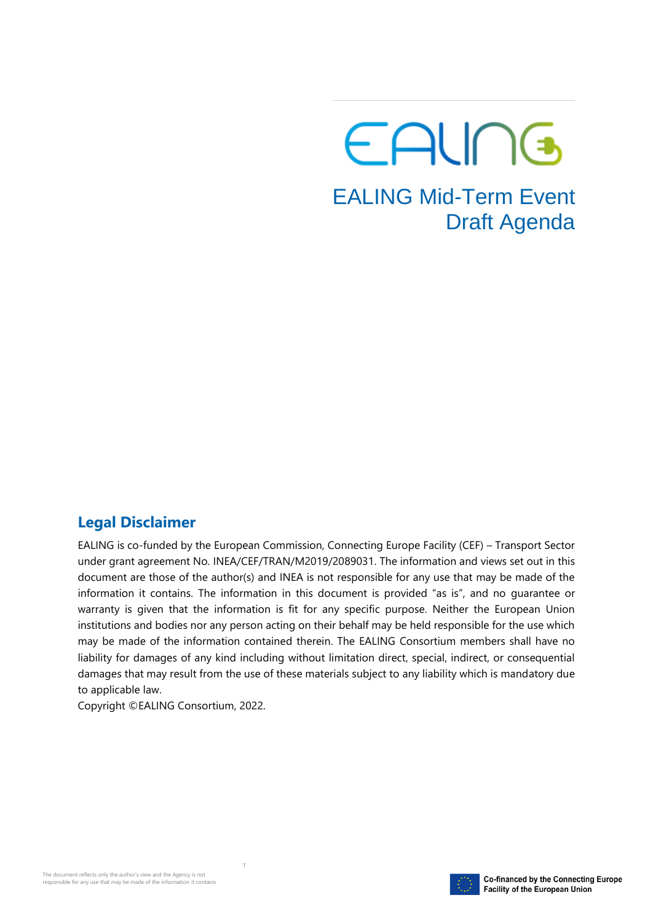# EALING EALING Mid-Term Event Draft Agenda

#### **Legal Disclaimer**

EALING is co-funded by the European Commission, Connecting Europe Facility (CEF) – Transport Sector under grant agreement No. INEA/CEF/TRAN/M2019/2089031. The information and views set out in this document are those of the author(s) and INEA is not responsible for any use that may be made of the information it contains. The information in this document is provided "as is", and no guarantee or warranty is given that the information is fit for any specific purpose. Neither the European Union institutions and bodies nor any person acting on their behalf may be held responsible for the use which may be made of the information contained therein. The EALING Consortium members shall have no liability for damages of any kind including without limitation direct, special, indirect, or consequential damages that may result from the use of these materials subject to any liability which is mandatory due to applicable law.

Copyright ©EALING Consortium, 2022.

T

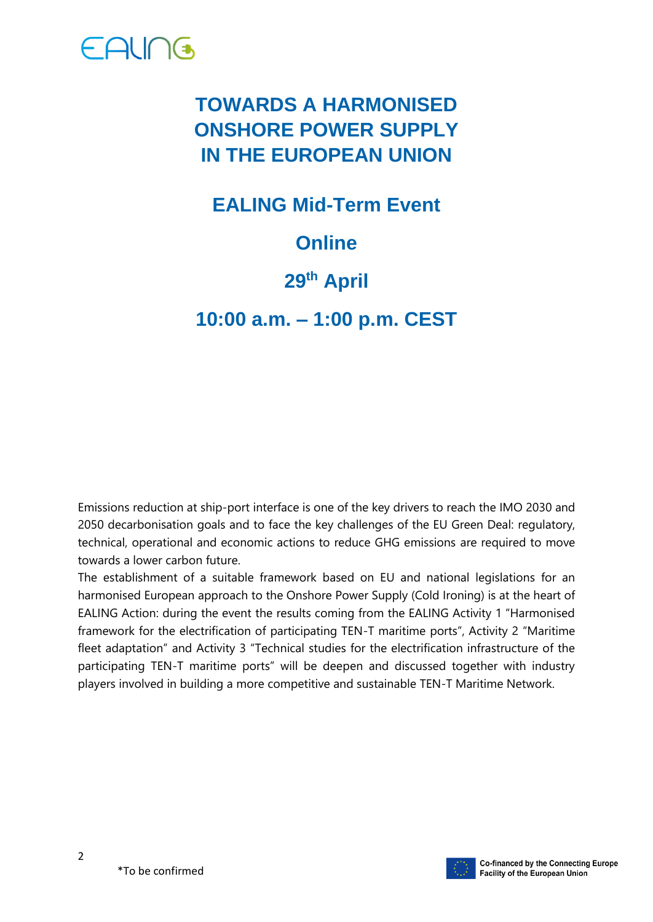

### **TOWARDS A HARMONISED ONSHORE POWER SUPPLY IN THE EUROPEAN UNION**

**EALING Mid-Term Event**

### **Online**

#### **29th April**

**10:00 a.m. – 1:00 p.m. CEST**

Emissions reduction at ship-port interface is one of the key drivers to reach the IMO 2030 and 2050 decarbonisation goals and to face the key challenges of the EU Green Deal: regulatory, technical, operational and economic actions to reduce GHG emissions are required to move towards a lower carbon future.

The establishment of a suitable framework based on EU and national legislations for an harmonised European approach to the Onshore Power Supply (Cold Ironing) is at the heart of EALING Action: during the event the results coming from the EALING Activity 1 "Harmonised framework for the electrification of participating TEN-T maritime ports", Activity 2 "Maritime fleet adaptation" and Activity 3 "Technical studies for the electrification infrastructure of the participating TEN-T maritime ports" will be deepen and discussed together with industry players involved in building a more competitive and sustainable TEN-T Maritime Network.

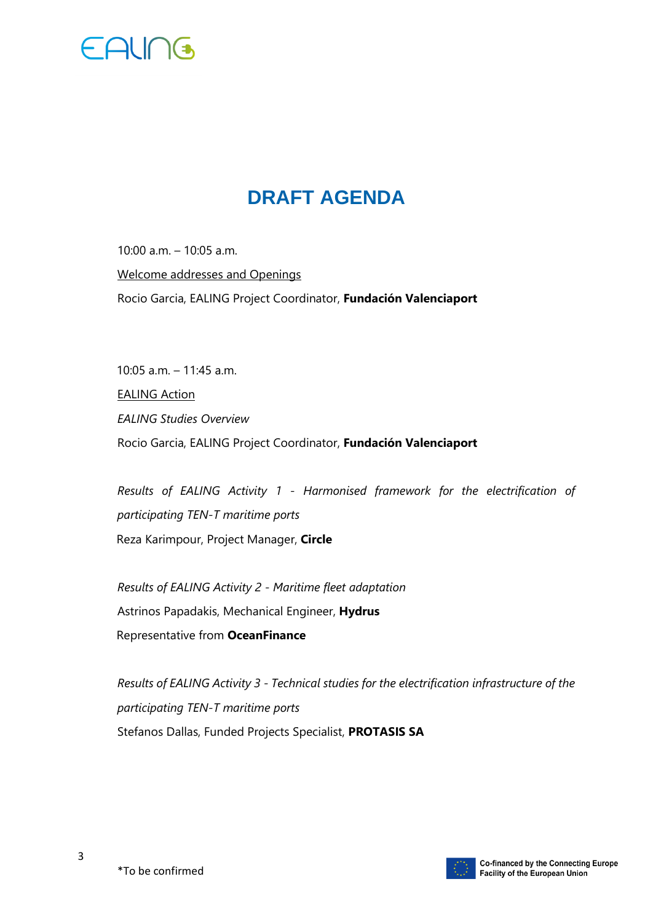

## **DRAFT AGENDA**

10:00 a.m. – 10:05 a.m. Welcome addresses and Openings Rocio Garcia, EALING Project Coordinator, **Fundación Valenciaport** 

10:05 a.m. – 11:45 a.m. EALING Action *EALING Studies Overview*  Rocio Garcia, EALING Project Coordinator, **Fundación Valenciaport**

*Results of EALING Activity 1 - Harmonised framework for the electrification of participating TEN-T maritime ports* Reza Karimpour, Project Manager, **Circle**

*Results of EALING Activity 2 - Maritime fleet adaptation*  Astrinos Papadakis, Mechanical Engineer, **Hydrus** Representative from **OceanFinance**

*Results of EALING Activity 3 - Technical studies for the electrification infrastructure of the participating TEN-T maritime ports*  Stefanos Dallas, Funded Projects Specialist, **PROTASIS SA**